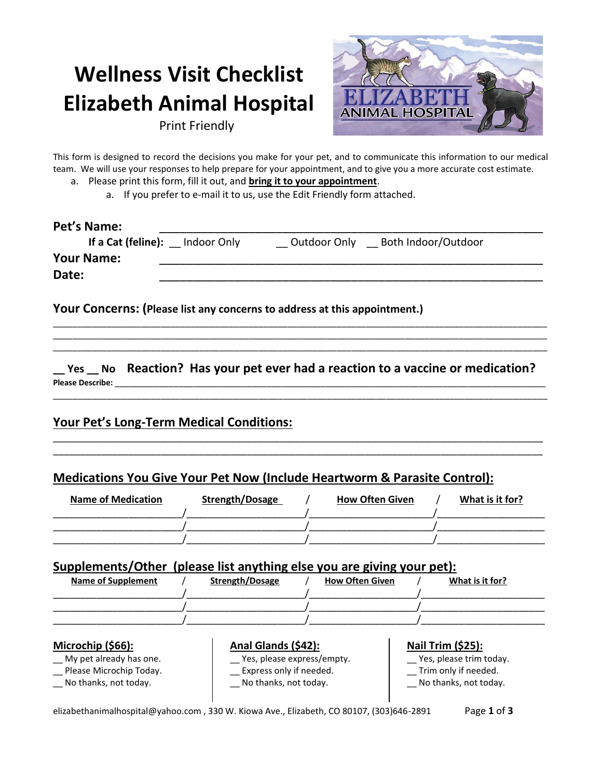# **Wellness Visit Checklist Elizabeth Animal Hospital**



Print Friendly

This form is designed to record the decisions you make for your pet, and to communicate this information to our medical team. We will use your responses to help prepare for your appointment, and to give you a more accurate cost estimate.

- a. Please print this form, fill it out, and **bring it to your appointment**.
	- a. If you prefer to e-mail it to us, use the Edit Friendly form attached.

| Pet's Name:<br>If a Cat (feline): Indoor Only | Outdoor Only Both Indoor/Outdoor                                          |
|-----------------------------------------------|---------------------------------------------------------------------------|
| <b>Your Name:</b>                             |                                                                           |
| Date:                                         |                                                                           |
|                                               |                                                                           |
|                                               | Your Concerns: (Please list any concerns to address at this appointment.) |

**\_\_ Yes \_\_ No Reaction? Has your pet ever had a reaction to a vaccine or medication?** Please Describe:

\_\_\_\_\_\_\_\_\_\_\_\_\_\_\_\_\_\_\_\_\_\_\_\_\_\_\_\_\_\_\_\_\_\_\_\_\_\_\_\_\_\_\_\_\_\_\_\_\_\_\_\_\_\_\_\_\_\_\_\_\_\_\_\_\_\_\_\_\_\_\_\_\_\_\_\_\_\_\_\_\_\_\_\_\_\_\_\_\_\_\_\_\_\_\_\_\_\_\_\_\_

\_\_\_\_\_\_\_\_\_\_\_\_\_\_\_\_\_\_\_\_\_\_\_\_\_\_\_\_\_\_\_\_\_\_\_\_\_\_\_\_\_\_\_\_\_\_\_\_\_\_\_\_\_\_\_\_\_\_\_\_\_\_\_\_\_\_\_\_\_\_\_\_\_\_\_\_\_\_\_\_\_\_\_\_\_\_\_\_\_\_\_ \_\_\_\_\_\_\_\_\_\_\_\_\_\_\_\_\_\_\_\_\_\_\_\_\_\_\_\_\_\_\_\_\_\_\_\_\_\_\_\_\_\_\_\_\_\_\_\_\_\_\_\_\_\_\_\_\_\_\_\_\_\_\_\_\_\_\_\_\_\_\_\_\_\_\_\_\_\_\_\_\_\_\_\_\_\_\_\_\_\_\_

\_\_\_\_\_\_\_\_\_\_\_\_\_\_\_\_\_\_\_\_\_\_\_\_\_\_\_\_\_\_\_\_\_\_\_\_\_\_\_\_\_\_\_\_\_\_\_\_\_\_\_\_\_\_\_\_\_\_\_\_\_\_\_\_\_\_\_\_\_\_\_\_\_\_\_\_\_\_\_\_\_\_\_\_\_\_\_\_\_\_\_\_\_\_\_\_\_\_\_\_\_ \_\_\_\_\_\_\_\_\_\_\_\_\_\_\_\_\_\_\_\_\_\_\_\_\_\_\_\_\_\_\_\_\_\_\_\_\_\_\_\_\_\_\_\_\_\_\_\_\_\_\_\_\_\_\_\_\_\_\_\_\_\_\_\_\_\_\_\_\_\_\_\_\_\_\_\_\_\_\_\_\_\_\_\_\_\_\_\_\_\_\_\_\_\_\_\_\_\_\_\_\_

# **Your Pet's Long-Term Medical Conditions:**

# **Medications You Give Your Pet Now (Include Heartworm & Parasite Control):**

| <b>Name of Medication</b> | Strength/Dosage | <b>How Often Given</b> | What is it for? |
|---------------------------|-----------------|------------------------|-----------------|
|                           |                 |                        |                 |

## **Supplements/Other (please list anything else you are giving your pet):**

| <b>Name of Supplement</b> | Strength/Dosage | <b>How Often Given</b> | What is it for? |
|---------------------------|-----------------|------------------------|-----------------|
|                           |                 |                        |                 |
|                           |                 |                        |                 |
|                           |                 |                        |                 |
|                           |                 |                        |                 |

#### **Microchip (\$66):**

- My pet already has one.
- \_\_ Please Microchip Today.
- \_\_ No thanks, not today.
- **Anal Glands (\$42):** \_\_ Yes, please express/empty.
- \_\_ Express only if needed. \_\_ No thanks, not today.

## **Nail Trim (\$25):**

\_\_ Yes, please trim today. \_\_ Trim only if needed. \_\_ No thanks, not today.

elizabethanimalhospital@yahoo.com , 330 W. Kiowa Ave., Elizabeth, CO 80107, (303)646-2891 Page **1** of **3**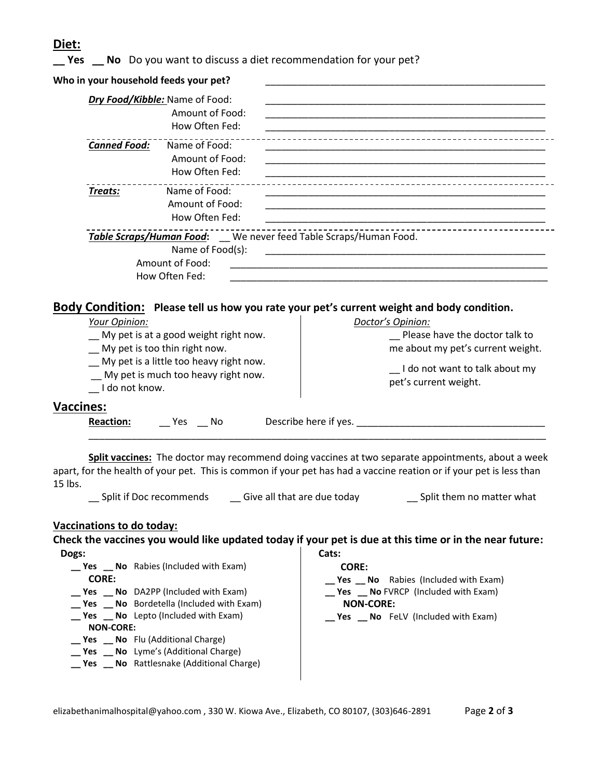## **Diet:**

**\_\_ Yes \_\_ No** Do you want to discuss a diet recommendation for your pet?

| Who in your household feeds your pet?                                                                                    |                                                                                                                      |
|--------------------------------------------------------------------------------------------------------------------------|----------------------------------------------------------------------------------------------------------------------|
| Dry Food/Kibble: Name of Food:<br>Amount of Food:<br>How Often Fed:                                                      | <u> 1989 - Johann Stoff, amerikansk politiker (d. 1989)</u>                                                          |
| <b>Canned Food:</b><br>Name of Food:<br>Amount of Food:<br>How Often Fed:                                                |                                                                                                                      |
| Treats:<br>Name of Food:<br>Amount of Food:<br>How Often Fed:                                                            |                                                                                                                      |
| Table Scraps/Human Food: We never feed Table Scraps/Human Food.<br>Name of Food(s):<br>Amount of Food:<br>How Often Fed: | <u> 2001 - Jan Barnett, margaret et al. 1992 - Anglet et al. 1993 - Anglet et al. 1994 - Anglet et al. 1994 - An</u> |
|                                                                                                                          | Body Condition: Please tell us how you rate your pet's current weight and body condition.                            |
| Your Opinion:<br>My pet is at a good weight right now.<br>My pet is too thin right now.                                  | Doctor's Opinion:<br>Please have the doctor talk to<br>me about my pet's current weight.                             |

- \_\_ My pet is a little too heavy right now.
- \_\_ My pet is much too heavy right now.
- \_\_ I do not know.

me about my pet's current weight.

\_\_ I do not want to talk about my pet's current weight.

## **Vaccines:**

**Reaction:** \_\_\_ Yes \_\_\_ No Describe here if yes. \_\_\_\_\_\_\_\_\_\_\_\_\_\_\_\_\_\_\_\_\_\_\_\_\_\_\_\_\_\_\_\_ \_\_\_\_\_\_\_\_\_\_\_\_\_\_\_\_\_\_\_\_\_\_\_\_\_\_\_\_\_\_\_\_\_\_\_\_\_\_\_\_\_\_\_\_\_\_\_\_\_\_\_\_\_\_\_\_\_\_\_\_\_\_\_\_\_\_\_\_\_\_\_\_\_\_\_\_\_\_\_\_\_\_\_\_\_

**Split vaccines:** The doctor may recommend doing vaccines at two separate appointments, about a week apart, for the health of your pet. This is common if your pet has had a vaccine reation or if your pet is less than 15 lbs.

\_\_ Split if Doc recommends \_\_ Give all that are due today \_\_ Split them no matter what

## **Vaccinations to do today:**

**Check the vaccines you would like updated today if your pet is due at this time or in the near future: Dogs: \_\_ Yes \_\_ No** Rabies (Included with Exam) **Cats: CORE:** 

| <b>res No</b> Rabies (included with Exam)             | CORE:                                                  |
|-------------------------------------------------------|--------------------------------------------------------|
| <b>CORE:</b>                                          | $\mathbf{S}$ <b>Yes No</b> Rabies (Included with Exam) |
| $\text{Yes}$ <b>No</b> DA2PP (Included with Exam)     | __ Yes __ No FVRCP (Included with Exam)                |
| __ Yes __ No Bordetella (Included with Exam)          | <b>NON-CORE:</b>                                       |
| $\mathbf{S}$ <b>Yes No</b> Lepto (Included with Exam) | $\text{Yes}$ No FelV (Included with Exam)              |
| <b>NON-CORE:</b>                                      |                                                        |
| <b>Yes No</b> Flu (Additional Charge)                 |                                                        |
| __ Yes __ No Lyme's (Additional Charge)               |                                                        |
| <b>Yes</b> No Rattlesnake (Additional Charge)         |                                                        |
|                                                       |                                                        |